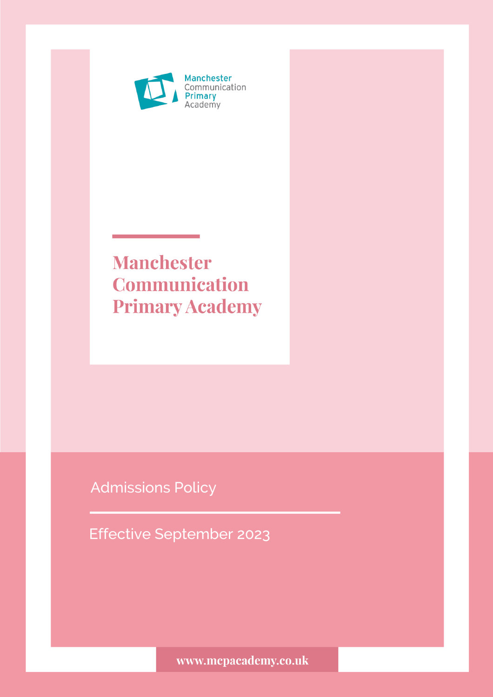

# **Manchester Communication Primary Academy**

Admissions Policy

Effective September 2023

www.mcpacademy.co.uk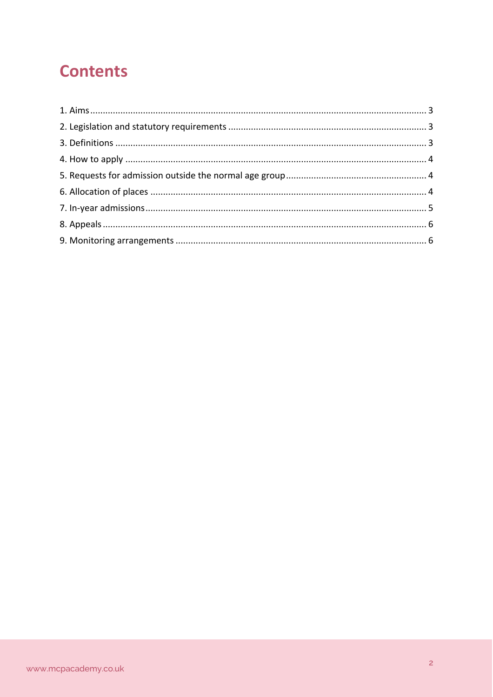## **Contents**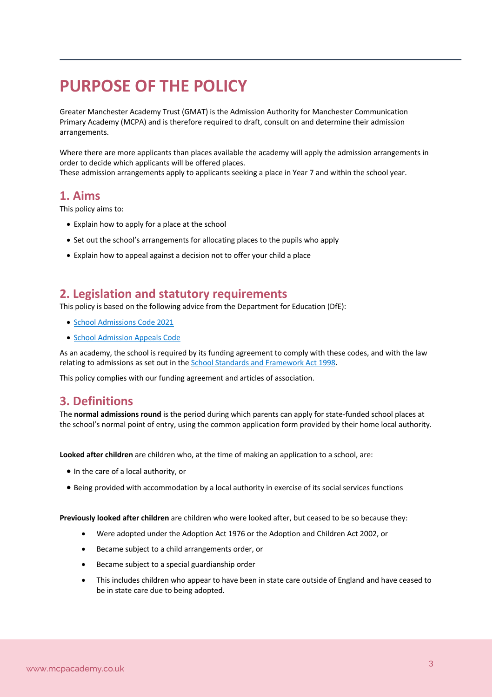## **PURPOSE OF THE POLICY**

Greater Manchester Academy Trust (GMAT) is the Admission Authority for Manchester Communication Primary Academy (MCPA) and is therefore required to draft, consult on and determine their admission arrangements.

Where there are more applicants than places available the academy will apply the admission arrangements in order to decide which applicants will be offered places. These admission arrangements apply to applicants seeking a place in Year 7 and within the school year.

## **1. Aims**

This policy aims to:

- Explain how to apply for a place at the school
- Set out the school's arrangements for allocating places to the pupils who apply
- Explain how to appeal against a decision not to offer your child a place

## **2. Legislation and statutory requirements**

This policy is based on the following advice from the Department for Education (DfE):

- School Admissions Code 2021
- School Admission Appeals Code

As an academy, the school is required by its funding agreement to comply with these codes, and with the law relating to admissions as set out in the School Standards and Framework Act 1998.

This policy complies with our funding agreement and articles of association.

## **3. Definitions**

The **normal admissions round** is the period during which parents can apply for state-funded school places at the school's normal point of entry, using the common application form provided by their home local authority.

**Looked after children** are children who, at the time of making an application to a school, are:

- In the care of a local authority, or
- Being provided with accommodation by a local authority in exercise of its social services functions

**Previously looked after children** are children who were looked after, but ceased to be so because they:

- Were adopted under the Adoption Act 1976 or the Adoption and Children Act 2002, or
- Became subject to a child arrangements order, or
- Became subject to a special guardianship order
- This includes children who appear to have been in state care outside of England and have ceased to be in state care due to being adopted.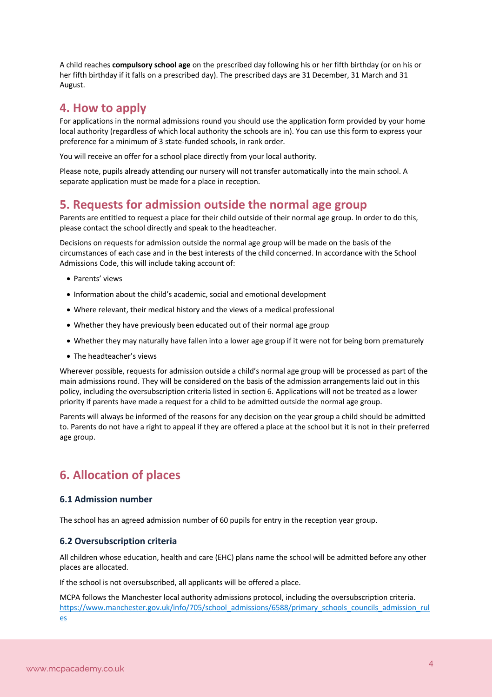A child reaches **compulsory school age** on the prescribed day following his or her fifth birthday (or on his or her fifth birthday if it falls on a prescribed day). The prescribed days are 31 December, 31 March and 31 August.

## **4. How to apply**

For applications in the normal admissions round you should use the application form provided by your home local authority (regardless of which local authority the schools are in). You can use this form to express your preference for a minimum of 3 state-funded schools, in rank order.

You will receive an offer for a school place directly from your local authority.

Please note, pupils already attending our nursery will not transfer automatically into the main school. A separate application must be made for a place in reception.

## **5. Requests for admission outside the normal age group**

Parents are entitled to request a place for their child outside of their normal age group. In order to do this, please contact the school directly and speak to the headteacher.

Decisions on requests for admission outside the normal age group will be made on the basis of the circumstances of each case and in the best interests of the child concerned. In accordance with the School Admissions Code, this will include taking account of:

- Parents' views
- Information about the child's academic, social and emotional development
- Where relevant, their medical history and the views of a medical professional
- Whether they have previously been educated out of their normal age group
- Whether they may naturally have fallen into a lower age group if it were not for being born prematurely
- The headteacher's views

Wherever possible, requests for admission outside a child's normal age group will be processed as part of the main admissions round. They will be considered on the basis of the admission arrangements laid out in this policy, including the oversubscription criteria listed in section 6. Applications will not be treated as a lower priority if parents have made a request for a child to be admitted outside the normal age group.

Parents will always be informed of the reasons for any decision on the year group a child should be admitted to. Parents do not have a right to appeal if they are offered a place at the school but it is not in their preferred age group.

## **6. Allocation of places**

#### **6.1 Admission number**

The school has an agreed admission number of 60 pupils for entry in the reception year group.

#### **6.2 Oversubscription criteria**

All children whose education, health and care (EHC) plans name the school will be admitted before any other places are allocated.

If the school is not oversubscribed, all applicants will be offered a place.

MCPA follows the Manchester local authority admissions protocol, including the oversubscription criteria. https://www.manchester.gov.uk/info/705/school\_admissions/6588/primary\_schools\_councils\_admission\_rul es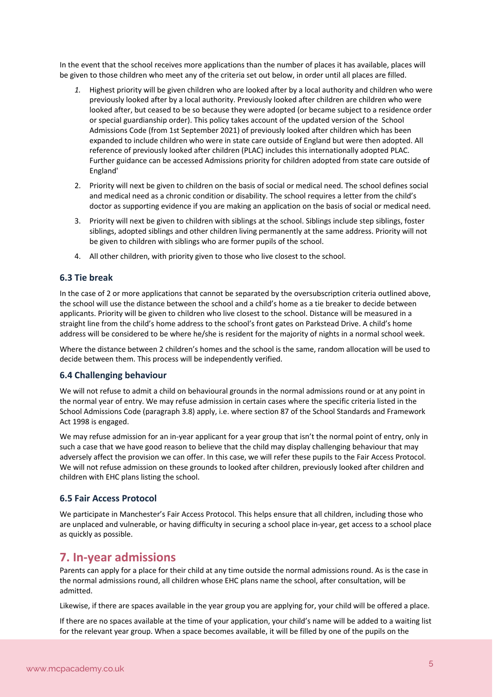In the event that the school receives more applications than the number of places it has available, places will be given to those children who meet any of the criteria set out below, in order until all places are filled.

- *1.* Highest priority will be given children who are looked after by a local authority and children who were previously looked after by a local authority. Previously looked after children are children who were looked after, but ceased to be so because they were adopted (or became subject to a residence order or special guardianship order). This policy takes account of the updated version of the School Admissions Code (from 1st September 2021) of previously looked after children which has been expanded to include children who were in state care outside of England but were then adopted. All reference of previously looked after children (PLAC) includes this internationally adopted PLAC. Further guidance can be accessed Admissions priority for children adopted from state care outside of England'
- 2. Priority will next be given to children on the basis of social or medical need. The school defines social and medical need as a chronic condition or disability. The school requires a letter from the child's doctor as supporting evidence if you are making an application on the basis of social or medical need.
- 3. Priority will next be given to children with siblings at the school. Siblings include step siblings, foster siblings, adopted siblings and other children living permanently at the same address. Priority will not be given to children with siblings who are former pupils of the school.
- 4. All other children, with priority given to those who live closest to the school.

#### **6.3 Tie break**

In the case of 2 or more applications that cannot be separated by the oversubscription criteria outlined above, the school will use the distance between the school and a child's home as a tie breaker to decide between applicants. Priority will be given to children who live closest to the school. Distance will be measured in a straight line from the child's home address to the school's front gates on Parkstead Drive. A child's home address will be considered to be where he/she is resident for the majority of nights in a normal school week.

Where the distance between 2 children's homes and the school is the same, random allocation will be used to decide between them. This process will be independently verified.

#### **6.4 Challenging behaviour**

We will not refuse to admit a child on behavioural grounds in the normal admissions round or at any point in the normal year of entry. We may refuse admission in certain cases where the specific criteria listed in the School Admissions Code (paragraph 3.8) apply, i.e. where section 87 of the School Standards and Framework Act 1998 is engaged.

We may refuse admission for an in-year applicant for a year group that isn't the normal point of entry, only in such a case that we have good reason to believe that the child may display challenging behaviour that may adversely affect the provision we can offer. In this case, we will refer these pupils to the Fair Access Protocol. We will not refuse admission on these grounds to looked after children, previously looked after children and children with EHC plans listing the school.

#### **6.5 Fair Access Protocol**

We participate in Manchester's Fair Access Protocol. This helps ensure that all children, including those who are unplaced and vulnerable, or having difficulty in securing a school place in-year, get access to a school place as quickly as possible.

### **7. In-year admissions**

Parents can apply for a place for their child at any time outside the normal admissions round. As is the case in the normal admissions round, all children whose EHC plans name the school, after consultation, will be admitted.

Likewise, if there are spaces available in the year group you are applying for, your child will be offered a place.

If there are no spaces available at the time of your application, your child's name will be added to a waiting list for the relevant year group. When a space becomes available, it will be filled by one of the pupils on the